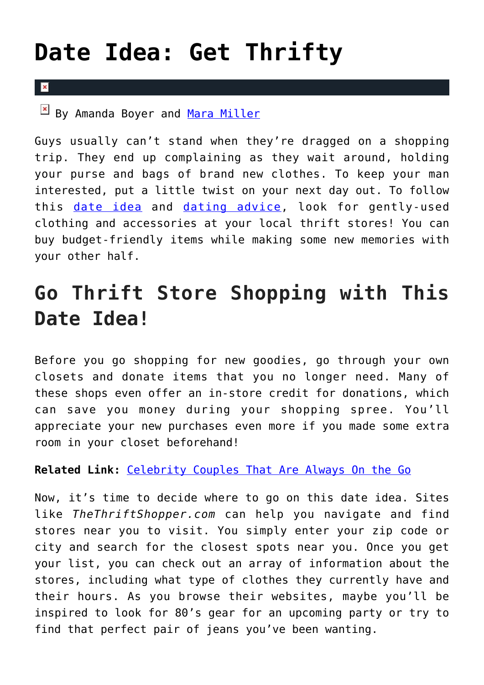## **[Date Idea: Get Thrifty](https://cupidspulse.com/128687/date-idea-get-thrifty/)**

## By Amanda Boyer and [Mara Miller](http://cupidspulse.com/128278/mara-miller/)

 $\mathbf{R}$ 

Guys usually can't stand when they're dragged on a shopping trip. They end up complaining as they wait around, holding your purse and bags of brand new clothes. To keep your man interested, put a little twist on your next day out. To follow this [date idea](http://cupidspulse.com/dating/date-ideas/) and [dating advice](http://cupidspulse.com/relationship-experts/), look for gently-used clothing and accessories at your local thrift stores! You can buy budget-friendly items while making some new memories with your other half.

## **Go Thrift Store Shopping with This Date Idea!**

Before you go shopping for new goodies, go through your own closets and donate items that you no longer need. Many of these shops even offer an in-store credit for donations, which can save you money during your shopping spree. You'll appreciate your new purchases even more if you made some extra room in your closet beforehand!

**Related Link:** [Celebrity Couples That Are Always On the Go](http://cupidspulse.com/37265/celebrity-couples-on-the-go/#SO2OwTyUuzrUVAq3.99)

Now, it's time to decide where to go on this date idea. Sites like *TheThriftShopper.com* can help you navigate and find stores near you to visit. You simply enter your zip code or city and search for the closest spots near you. Once you get your list, you can check out an array of information about the stores, including what type of clothes they currently have and their hours. As you browse their websites, maybe you'll be inspired to look for 80's gear for an upcoming party or try to find that perfect pair of jeans you've been wanting.